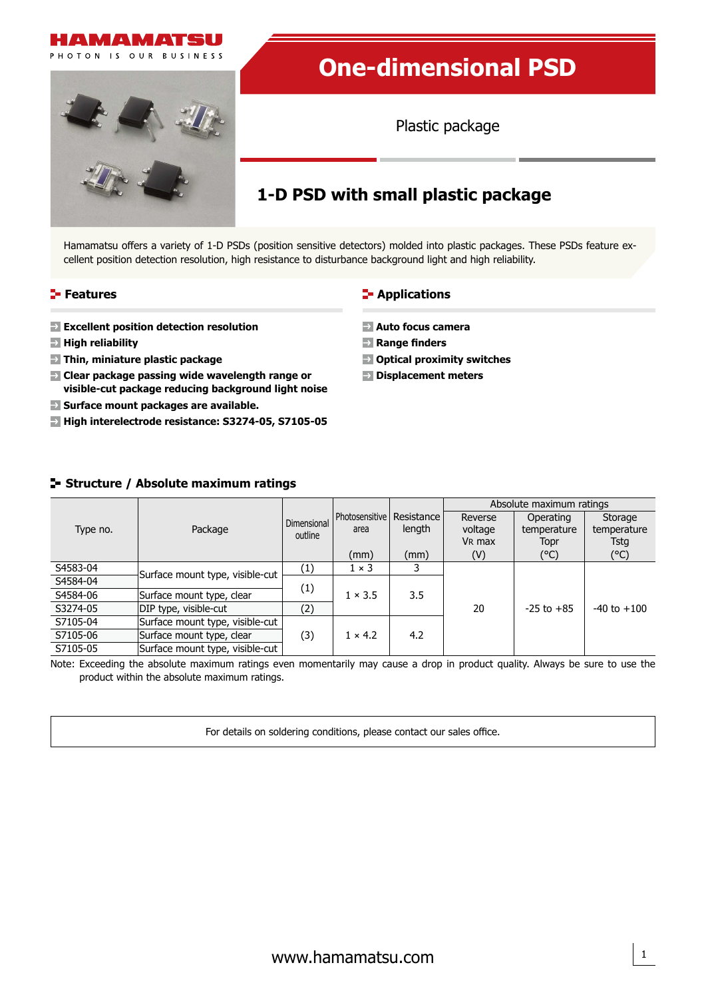

# **One-dimensional PSD**

Plastic package

# **1-D PSD with small plastic package**

Hamamatsu offers a variety of 1-D PSDs (position sensitive detectors) molded into plastic packages. These PSDs feature excellent position detection resolution, high resistance to disturbance background light and high reliability.

# **Features**

- **Excellent position detection resolution**
- **High reliability**
- **Thin, miniature plastic package**
- **Clear package passing wide wavelength range or visible-cut package reducing background light noise**
- **Surface mount packages are available.**
- **High interelectrode resistance: S3274-05, S7105-05**

# **E-** Applications

- **Auto focus camera**
- **Range finders**
- **Optical proximity switches**
- **Displacement meters**

# **Structure / Absolute maximum ratings**

| Type no. |                                 | Dimensional<br>outline |                                       |        | Absolute maximum ratings                 |                                  |                                |  |  |  |
|----------|---------------------------------|------------------------|---------------------------------------|--------|------------------------------------------|----------------------------------|--------------------------------|--|--|--|
|          | Package                         |                        | Photosensitive   Resistance  <br>area | length | Reverse<br>voltage<br>V <sub>R</sub> max | Operating<br>temperature<br>Topr | Storage<br>temperature<br>Tsta |  |  |  |
|          |                                 |                        | (mm)                                  | (mm)   | (V)                                      | (°C)                             | (°C)                           |  |  |  |
| S4583-04 | Surface mount type, visible-cut | (1)                    | $1 \times 3$                          |        |                                          |                                  |                                |  |  |  |
| S4584-04 |                                 | (1)                    | $1 \times 3.5$                        | 3.5    |                                          |                                  |                                |  |  |  |
| S4584-06 | Surface mount type, clear       |                        |                                       |        |                                          |                                  |                                |  |  |  |
| S3274-05 | DIP type, visible-cut           | (2)                    |                                       |        | 20                                       | $-25$ to $+85$                   | $-40$ to $+100$                |  |  |  |
| S7105-04 | Surface mount type, visible-cut |                        |                                       |        |                                          |                                  |                                |  |  |  |
| S7105-06 | Surface mount type, clear       | (3)                    | $1 \times 4.2$                        | 4.2    |                                          |                                  |                                |  |  |  |
| S7105-05 | Surface mount type, visible-cut |                        |                                       |        |                                          |                                  |                                |  |  |  |

Note: Exceeding the absolute maximum ratings even momentarily may cause a drop in product quality. Always be sure to use the product within the absolute maximum ratings.

For details on soldering conditions, please contact our sales office.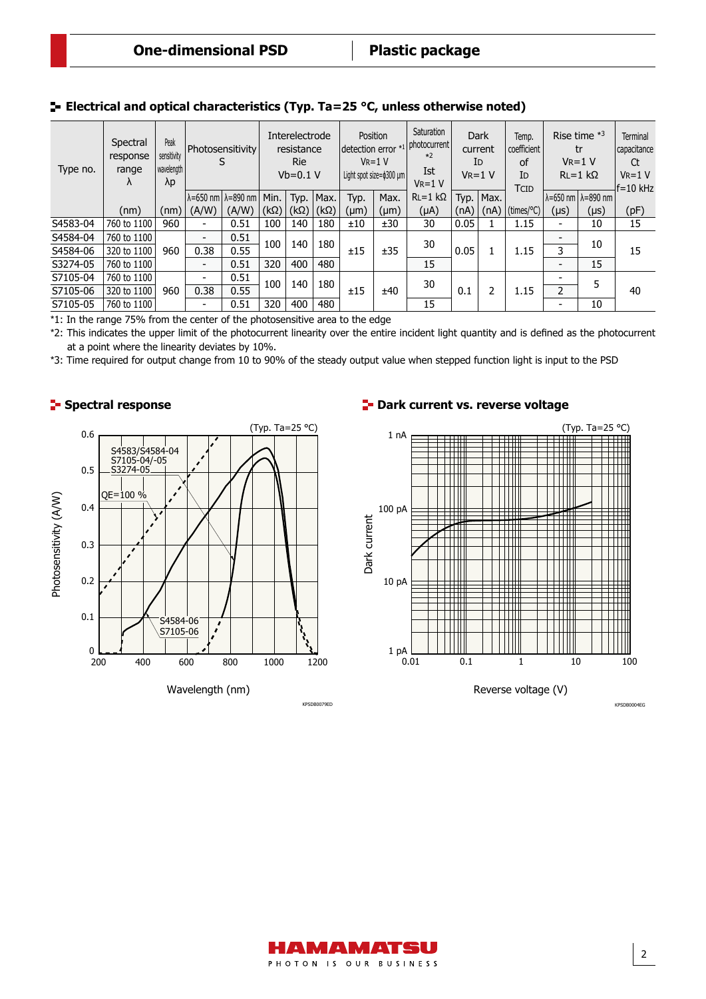| Type no. | Spectral<br>response<br>range<br>Λ | Peak<br>sensitivity<br>wavelength<br>λp | Photosensitivity<br>S                            |       | Interelectrode<br>resistance<br><b>Rie</b><br>$Vb=0.1 V$ |                           | Position<br>detection error *1 photocurrent<br>$V_{R}=1$ V<br>Light spot size=\$300 µm |      | Saturation<br>$*2$<br>Ist<br>$V_{R}=1$ V | <b>Dark</b><br>current<br>ID<br>$V_{R}=1$ V |      | Temp.<br>coefficient<br>of<br>ID<br>TCID | Rise time $*3$<br>tr<br>$V_R = 1 V$<br>$RL = 1 k\Omega$ |                | <b>Terminal</b><br>capacitance<br>Ct<br>$V_R = 1 V$<br>$ f=10$ kHz |      |
|----------|------------------------------------|-----------------------------------------|--------------------------------------------------|-------|----------------------------------------------------------|---------------------------|----------------------------------------------------------------------------------------|------|------------------------------------------|---------------------------------------------|------|------------------------------------------|---------------------------------------------------------|----------------|--------------------------------------------------------------------|------|
|          |                                    |                                         | $\lambda$ =650 nm $\lambda$ =890 nm $\vert$ Min. |       |                                                          |                           | Typ.   Max.                                                                            | Typ. | Max.                                     | $RL=1$ kΩ                                   | Typ. | Max.                                     |                                                         |                | $\lambda = 650$ nm $\lambda = 890$ nm                              |      |
|          | (nm)                               | (nm) $\mid$                             | (A/W)                                            | (A/W) | $(k\Omega)$                                              | $(k\Omega)$ (k $\Omega$ ) |                                                                                        | (µm) | $(\mu m)$                                | (µA)                                        | (nA) |                                          | $(nA)$ (times/°C)                                       | (µs)           | $(\mu s)$                                                          | (pF) |
| S4583-04 | 760 to 1100                        | 960                                     | $\blacksquare$                                   | 0.51  | 100                                                      | 140                       | 180                                                                                    | ±10  | ±30                                      | 30                                          | 0.05 |                                          | 1.15                                                    | $\blacksquare$ | 10                                                                 | 15   |
| S4584-04 | 760 to 1100                        | 960                                     | $\overline{\phantom{0}}$                         | 0.51  | 140<br>100<br>400<br>320                                 |                           | 180                                                                                    | ±15  | ±35                                      | 30                                          |      |                                          | 1.15                                                    |                | 10                                                                 | 15   |
| S4584-06 | 320 to 1100                        |                                         | 0.38                                             | 0.55  |                                                          |                           |                                                                                        |      |                                          |                                             | 0.05 |                                          |                                                         | 3.             |                                                                    |      |
| S3274-05 | 760 to 1100                        |                                         | $\blacksquare$                                   | 0.51  |                                                          | 480                       |                                                                                        |      | 15                                       |                                             |      |                                          | $\overline{\phantom{0}}$                                | 15             |                                                                    |      |
| S7105-04 | 760 to 1100                        | 960                                     | $\overline{\phantom{0}}$                         | 0.51  | 100<br>140<br>400<br>320                                 |                           | 180                                                                                    | ±15  | ±40                                      | 30                                          | 0.1  | 2                                        | 1.15                                                    |                | 5                                                                  |      |
| S7105-06 | 320 to 1100                        |                                         | 0.38                                             | 0.55  |                                                          |                           |                                                                                        |      |                                          |                                             |      |                                          |                                                         | $\overline{2}$ |                                                                    | 40   |
| S7105-05 | 760 to 1100                        |                                         | $\overline{\phantom{0}}$                         | 0.51  |                                                          | 480                       |                                                                                        |      | 15                                       |                                             |      |                                          | $\blacksquare$                                          | 10             |                                                                    |      |

# **Electrical and optical characteristics (Typ. Ta=25 °C, unless otherwise noted)**

\*1: In the range 75% from the center of the photosensitive area to the edge

\*2: This indicates the upper limit of the photocurrent linearity over the entire incident light quantity and is defined as the photocurrent at a point where the linearity deviates by 10%.

\*3: Time required for output change from 10 to 90% of the steady output value when stepped function light is input to the PSD

# **Spectral response**



KPSDB0079ED

## **P** Dark current vs. reverse voltage



Reverse voltage (V)

HAMAMATSU PHOTON IS OUR BUSINESS KPSDB0004EG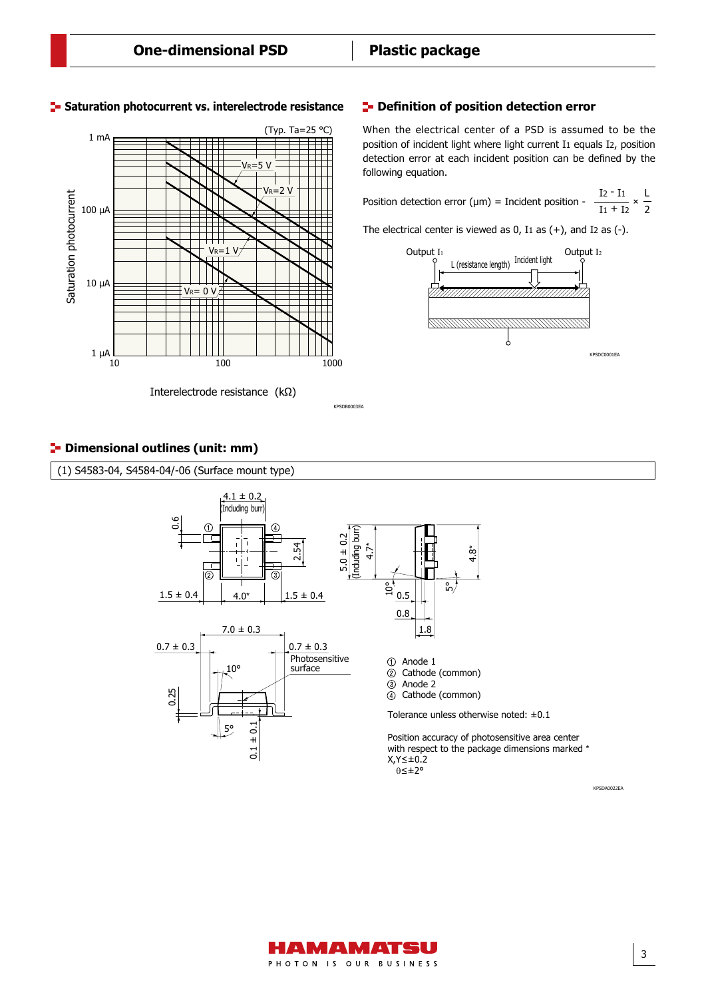

# **Saturation photocurrent vs. interelectrode resistance E-Definition of position detection error**

KPSDB0003EA

When the electrical center of a PSD is assumed to be the position of incident light where light current I1 equals I2, position detection error at each incident position can be defined by the following equation.

Position detection error ( $\mu$ m) = Incident position  $rac{I_2 - I_1}{I_1 + I_2} \times \frac{L}{2}$ 

The electrical center is viewed as  $0$ ,  $I_1$  as  $(+)$ , and  $I_2$  as  $(-)$ .



# **P**-Dimensional outlines (unit: mm)

(1) S4583-04, S4584-04/-06 (Surface mount type)



KPSDA0022EA

3

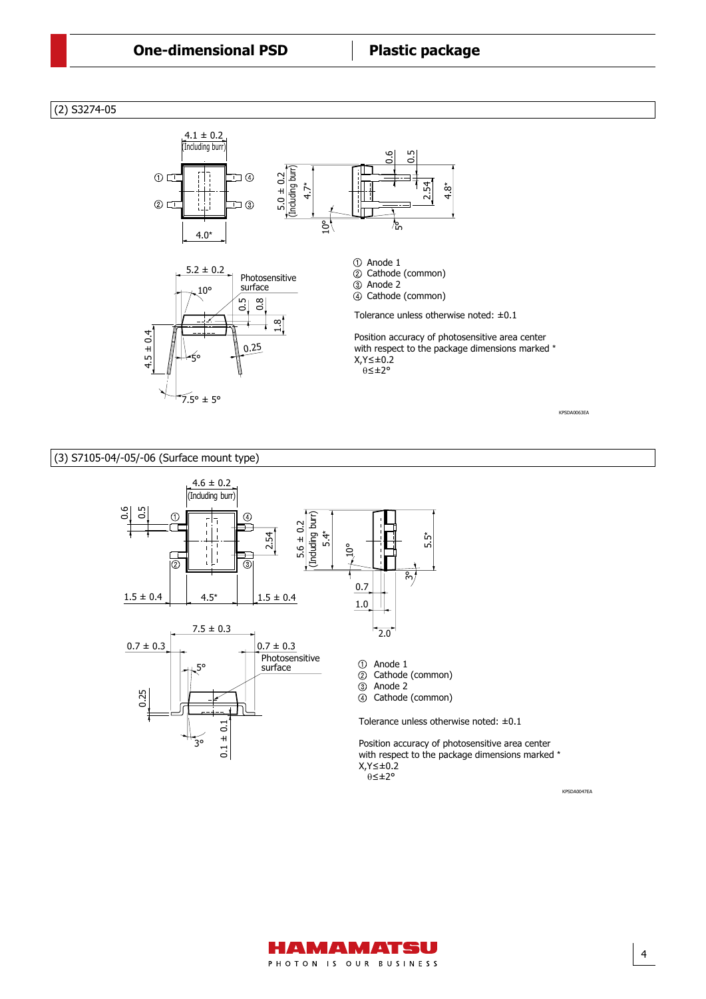# (2) S3274-05



### (3) S7105-04/-05/-06 (Surface mount type)



# ΄<br>θ≤±2°

KPSDA0047EA

4